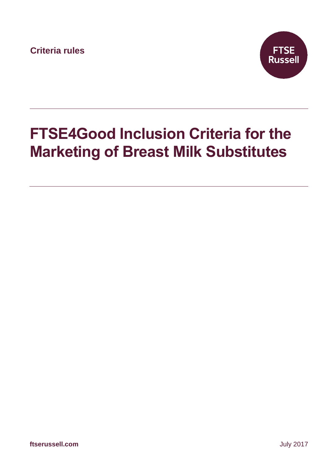**Criteria rules**



# **FTSE4Good Inclusion Criteria for the Marketing of Breast Milk Substitutes**

**ftserussell.com** July 2017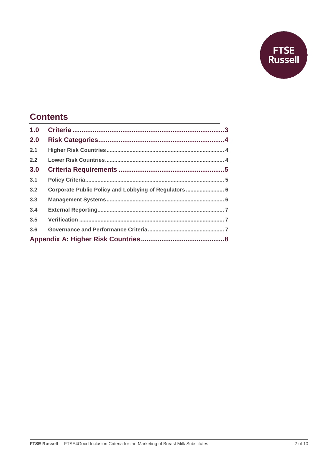

### **Contents**

| Corporate Public Policy and Lobbying of Regulators 6 |
|------------------------------------------------------|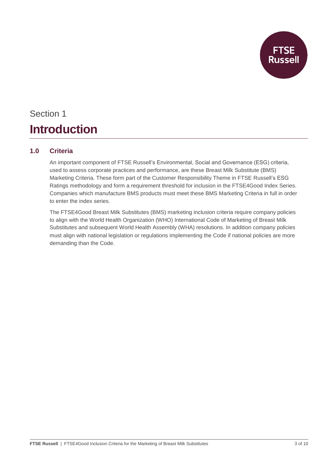

## Section 1 **Introduction**

#### **1.0 Criteria**

An important component of FTSE Russell's Environmental, Social and Governance (ESG) criteria, used to assess corporate practices and performance, are these Breast Milk Substitute (BMS) Marketing Criteria. These form part of the Customer Responsibility Theme in FTSE Russell's ESG Ratings methodology and form a requirement threshold for inclusion in the FTSE4Good Index Series. Companies which manufacture BMS products must meet these BMS Marketing Criteria in full in order to enter the index series.

The FTSE4Good Breast Milk Substitutes (BMS) marketing inclusion criteria require company policies to align with the World Health Organization (WHO) International Code of Marketing of Breast Milk Substitutes and subsequent World Health Assembly (WHA) resolutions. In addition company policies must align with national legislation or regulations implementing the Code if national policies are more demanding than the Code.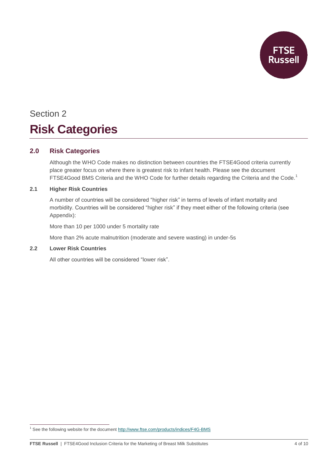

## Section 2 **Risk Categories**

#### **2.0 Risk Categories**

Although the WHO Code makes no distinction between countries the FTSE4Good criteria currently place greater focus on where there is greatest risk to infant health. Please see the document FTSE4Good BMS Criteria and the WHO Code for further details regarding the Criteria and the Code.<sup>1</sup>

#### **2.1 Higher Risk Countries**

A number of countries will be considered "higher risk" in terms of levels of infant mortality and morbidity. Countries will be considered "higher risk" if they meet either of the following criteria (see Appendix):

More than 10 per 1000 under 5 mortality rate

More than 2% acute malnutrition (moderate and severe wasting) in under-5s

#### **2.2 Lower Risk Countries**

-

All other countries will be considered "lower risk".

<sup>&</sup>lt;sup>1</sup> See the following website for the document<http://www.ftse.com/products/indices/F4G-BMS>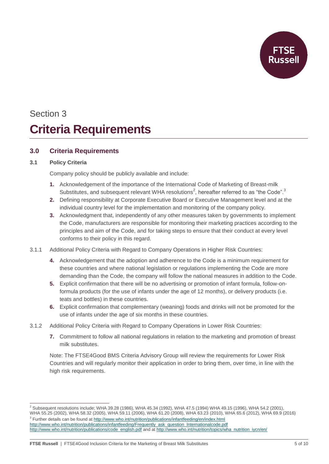

## Section 3 **Criteria Requirements**

#### **3.0 Criteria Requirements**

#### **3.1 Policy Criteria**

 $\overline{a}$ 

Company policy should be publicly available and include:

- **1.** Acknowledgement of the importance of the International Code of Marketing of Breast-milk Substitutes, and subsequent relevant WHA resolutions<sup>2</sup>, hereafter referred to as "the Code".<sup>3</sup>
- **2.** Defining responsibility at Corporate Executive Board or Executive Management level and at the individual country level for the implementation and monitoring of the company policy.
- **3.** Acknowledgment that, independently of any other measures taken by governments to implement the Code, manufacturers are responsible for monitoring their marketing practices according to the principles and aim of the Code, and for taking steps to ensure that their conduct at every level conforms to their policy in this regard.
- 3.1.1 Additional Policy Criteria with Regard to Company Operations in Higher Risk Countries:
	- **4.** Acknowledgement that the adoption and adherence to the Code is a minimum requirement for these countries and where national legislation or regulations implementing the Code are more demanding than the Code, the company will follow the national measures in addition to the Code.
	- **5.** Explicit confirmation that there will be no advertising or promotion of infant formula, follow-onformula products (for the use of infants under the age of 12 months), or delivery products (i.e. teats and bottles) in these countries.
	- **6.** Explicit confirmation that complementary (weaning) foods and drinks will not be promoted for the use of infants under the age of six months in these countries.
- 3.1.2 Additional Policy Criteria with Regard to Company Operations in Lower Risk Countries:
	- **7.** Commitment to follow all national regulations in relation to the marketing and promotion of breast milk substitutes.

Note: The FTSE4Good BMS Criteria Advisory Group will review the requirements for Lower Risk Countries and will regularly monitor their application in order to bring them, over time, in line with the high risk requirements.

 $^2$  Subsequent resolutions include; WHA 39.28 (1986), WHA 45.34 (1992), WHA 47.5 (1994) WHA 49.15 (1996), WHA 54.2 (2001), WHA 55.25 (2002), WHA 58.32 (2005), WHA 59.11 (2006), WHA 61.20 (2008), WHA 63.23 (2010), WHA 65.6 (2012), WHA 69.9 (2016) <sup>3</sup> Further details can be found a[t http://www.who.int/nutrition/publications/infantfeeding/en/index.html](http://www.who.int/nutrition/publications/infantfeeding/en/index.html) [http://www.who.int/nutrition/publications/infantfeeding/Frequently\\_ask\\_question\\_Internationalcode.pdf](http://www.who.int/nutrition/publications/infantfeeding/Frequently_ask_question_Internationalcode.pdf) [http://www.who.int/nutrition/publications/code\\_english.pdf](http://www.who.int/nutrition/publications/code_english.pdf) and at [http://www.who.int/nutrition/topics/wha\\_nutrition\\_iycn/en/](http://www.who.int/nutrition/topics/wha_nutrition_iycn/en/)

**FTSE Russell** | FTSE4Good Inclusion Criteria for the Marketing of Breast Milk Substitutes 5 of 10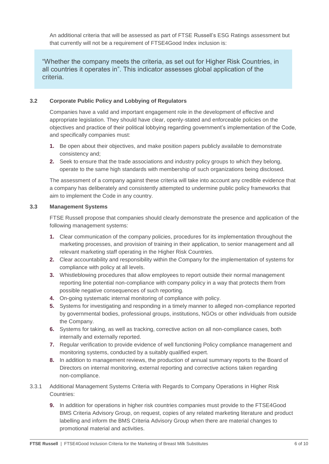An additional criteria that will be assessed as part of FTSE Russell's ESG Ratings assessment but that currently will not be a requirement of FTSE4Good Index inclusion is:

"Whether the company meets the criteria, as set out for Higher Risk Countries, in all countries it operates in". This indicator assesses global application of the criteria.

#### **3.2 Corporate Public Policy and Lobbying of Regulators**

Companies have a valid and important engagement role in the development of effective and appropriate legislation. They should have clear, openly-stated and enforceable policies on the objectives and practice of their political lobbying regarding government's implementation of the Code, and specifically companies must:

- **1.** Be open about their objectives, and make position papers publicly available to demonstrate consistency and;
- **2.** Seek to ensure that the trade associations and industry policy groups to which they belong, operate to the same high standards with membership of such organizations being disclosed.

The assessment of a company against these criteria will take into account any credible evidence that a company has deliberately and consistently attempted to undermine public policy frameworks that aim to implement the Code in any country.

#### **3.3 Management Systems**

FTSE Russell propose that companies should clearly demonstrate the presence and application of the following management systems:

- **1.** Clear communication of the company policies, procedures for its implementation throughout the marketing processes, and provision of training in their application, to senior management and all relevant marketing staff operating in the Higher Risk Countries.
- **2.** Clear accountability and responsibility within the Company for the implementation of systems for compliance with policy at all levels.
- **3.** Whistleblowing procedures that allow employees to report outside their normal management reporting line potential non-compliance with company policy in a way that protects them from possible negative consequences of such reporting.
- **4.** On-going systematic internal monitoring of compliance with policy.
- **5.** Systems for investigating and responding in a timely manner to alleged non-compliance reported by governmental bodies, professional groups, institutions, NGOs or other individuals from outside the Company.
- **6.** Systems for taking, as well as tracking, corrective action on all non-compliance cases, both internally and externally reported.
- **7.** Regular verification to provide evidence of well functioning Policy compliance management and monitoring systems, conducted by a suitably qualified expert.
- **8.** In addition to management reviews, the production of annual summary reports to the Board of Directors on internal monitoring, external reporting and corrective actions taken regarding non-compliance.
- 3.3.1 Additional Management Systems Criteria with Regards to Company Operations in Higher Risk Countries:
	- **9.** In addition for operations in higher risk countries companies must provide to the FTSE4Good BMS Criteria Advisory Group, on request, copies of any related marketing literature and product labelling and inform the BMS Criteria Advisory Group when there are material changes to promotional material and activities.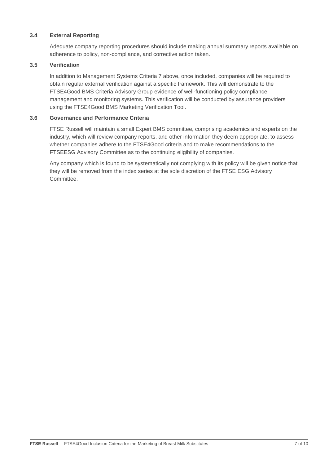#### **3.4 External Reporting**

Adequate company reporting procedures should include making annual summary reports available on adherence to policy, non-compliance, and corrective action taken.

#### **3.5 Verification**

In addition to Management Systems Criteria 7 above, once included, companies will be required to obtain regular external verification against a specific framework. This will demonstrate to the FTSE4Good BMS Criteria Advisory Group evidence of well-functioning policy compliance management and monitoring systems. This verification will be conducted by assurance providers using the FTSE4Good BMS Marketing Verification Tool.

#### **3.6 Governance and Performance Criteria**

FTSE Russell will maintain a small Expert BMS committee, comprising academics and experts on the industry, which will review company reports, and other information they deem appropriate, to assess whether companies adhere to the FTSE4Good criteria and to make recommendations to the FTSEESG Advisory Committee as to the continuing eligibility of companies.

Any company which is found to be systematically not complying with its policy will be given notice that they will be removed from the index series at the sole discretion of the FTSE ESG Advisory Committee.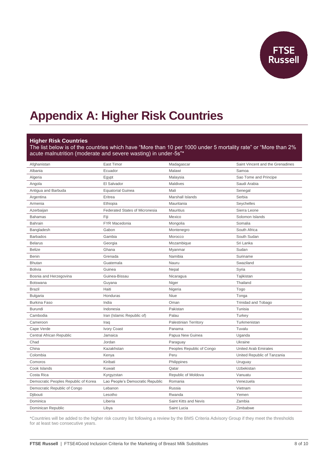

### **Appendix A: Higher Risk Countries**

#### **Higher Risk Countries**

The list below is of the countries which have "More than 10 per 1000 under 5 mortality rate" or "More than 2% acute malnutrition (moderate and severe wasting) in under-5s"\*

| Afghanistan                          | East Timor                            | Madagascar                   | Saint Vincent and the Grenadines |
|--------------------------------------|---------------------------------------|------------------------------|----------------------------------|
| Albania                              | Ecuador                               | Malawi                       | Samoa                            |
| Algeria                              | Egypt                                 | Malaysia                     | Sao Tome and Principe            |
| Angola                               | El Salvador                           | Maldives                     | Saudi Arabia                     |
| Antigua and Barbuda                  | <b>Equatorial Guinea</b>              | Mali                         | Senegal                          |
| Argentina                            | Eritrea                               | Marshall Islands             | Serbia                           |
| Armenia                              | Ethiopia                              | Mauritania                   | Seychelles                       |
| Azerbaijan                           | <b>Federated States of Micronesia</b> | <b>Mauritius</b>             | Sierra Leone                     |
| Bahamas                              | Fiji                                  | Mexico                       | Solomon Islands                  |
| <b>Bahrain</b>                       | <b>FYR Macedonia</b>                  | Mongolia                     | Somalia                          |
| Bangladesh                           | Gabon                                 | Montenegro                   | South Africa                     |
| <b>Barbados</b>                      | Gambia                                | Morocco                      | South Sudan                      |
| <b>Belarus</b>                       | Georgia                               | Mozambique                   | Sri Lanka                        |
| <b>Belize</b>                        | Ghana                                 | Myanmar                      | Sudan                            |
| Benin                                | Grenada                               | Namibia                      | Suriname                         |
| <b>Bhutan</b>                        | Guatemala                             | Nauru                        | Swaziland                        |
| <b>Bolivia</b>                       | Guinea                                | Nepal                        | Syria                            |
| Bosnia and Herzegovina               | Guinea-Bissau                         | Nicaragua                    | Tajikistan                       |
| <b>Botswana</b>                      | Guyana                                | Niger                        | Thailand                         |
| <b>Brazil</b>                        | Haiti                                 | Nigeria                      | Togo                             |
| <b>Bulgaria</b>                      | Honduras                              | Niue                         | Tonga                            |
| <b>Burkina Faso</b>                  | India                                 | Oman                         | <b>Trinidad and Tobago</b>       |
| <b>Burundi</b>                       | Indonesia                             | Pakistan                     | Tunisia                          |
| Cambodia                             | Iran (Islamic Republic of)            | Palau                        | Turkey                           |
| Cameroon                             | Iraq                                  | <b>Palestinian Territory</b> | Turkmenistan                     |
| Cape Verde                           | <b>Ivory Coast</b>                    | Panama                       | Tuvalu                           |
| Central African Republic             | Jamaica                               | Papua New Guinea             | Uganda                           |
| Chad                                 | Jordan                                | Paraguay                     | Ukraine                          |
| China                                | Kazakhstan                            | Peoples Republic of Congo    | <b>United Arab Emirates</b>      |
| Colombia                             | Kenya                                 | Peru                         | United Republic of Tanzania      |
| Comoros                              | Kiribati                              | Philippines                  | Uruguay                          |
| Cook Islands                         | Kuwait                                | Qatar                        | Uzbekistan                       |
| Costa Rica                           | Kyrgyzstan                            | Republic of Moldova          | Vanuatu                          |
| Democratic Peoples Republic of Korea | Lao People's Democratic Republic      | Romania                      | Venezuela                        |
| Democratic Republic of Congo         | Lebanon                               | Russia                       | Vietnam                          |
| Djibouti                             | Lesotho                               | Rwanda                       | Yemen                            |
| Dominica                             | Liberia                               | Saint Kitts and Nevis        | Zambia                           |
| Dominican Republic                   | Libya                                 | Saint Lucia                  | Zimbabwe                         |

\*Countries will be added to the higher risk country list following a review by the BMS Criteria Advisory Group if they meet the thresholds for at least two consecutive years.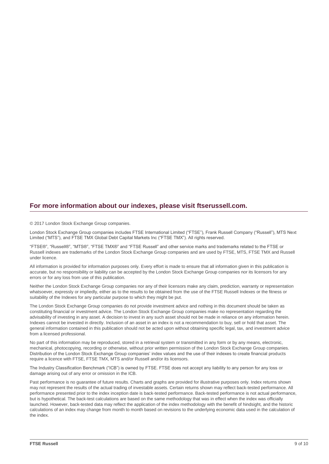#### **For more information about our indexes, please visit ftserussell.com.**

© 2017 London Stock Exchange Group companies.

London Stock Exchange Group companies includes FTSE International Limited ("FTSE"), Frank Russell Company ("Russell"), MTS Next Limited ("MTS"), and FTSE TMX Global Debt Capital Markets Inc ("FTSE TMX"). All rights reserved.

"FTSE®", "Russell®", "MTS®", "FTSE TMX®" and "FTSE Russell" and other service marks and trademarks related to the FTSE or Russell indexes are trademarks of the London Stock Exchange Group companies and are used by FTSE, MTS, FTSE TMX and Russell under licence.

All information is provided for information purposes only. Every effort is made to ensure that all information given in this publication is accurate, but no responsibility or liability can be accepted by the London Stock Exchange Group companies nor its licensors for any errors or for any loss from use of this publication.

Neither the London Stock Exchange Group companies nor any of their licensors make any claim, prediction, warranty or representation whatsoever, expressly or impliedly, either as to the results to be obtained from the use of the FTSE Russell Indexes or the fitness or suitability of the Indexes for any particular purpose to which they might be put.

The London Stock Exchange Group companies do not provide investment advice and nothing in this document should be taken as constituting financial or investment advice. The London Stock Exchange Group companies make no representation regarding the advisability of investing in any asset. A decision to invest in any such asset should not be made in reliance on any information herein. Indexes cannot be invested in directly. Inclusion of an asset in an index is not a recommendation to buy, sell or hold that asset. The general information contained in this publication should not be acted upon without obtaining specific legal, tax, and investment advice from a licensed professional.

No part of this information may be reproduced, stored in a retrieval system or transmitted in any form or by any means, electronic, mechanical, photocopying, recording or otherwise, without prior written permission of the London Stock Exchange Group companies. Distribution of the London Stock Exchange Group companies' index values and the use of their indexes to create financial products require a licence with FTSE, FTSE TMX, MTS and/or Russell and/or its licensors.

The Industry Classification Benchmark ("ICB") is owned by FTSE. FTSE does not accept any liability to any person for any loss or damage arising out of any error or omission in the ICB.

Past performance is no guarantee of future results. Charts and graphs are provided for illustrative purposes only. Index returns shown may not represent the results of the actual trading of investable assets. Certain returns shown may reflect back-tested performance. All performance presented prior to the index inception date is back-tested performance. Back-tested performance is not actual performance, but is hypothetical. The back-test calculations are based on the same methodology that was in effect when the index was officially launched. However, back-tested data may reflect the application of the index methodology with the benefit of hindsight, and the historic calculations of an index may change from month to month based on revisions to the underlying economic data used in the calculation of the index.